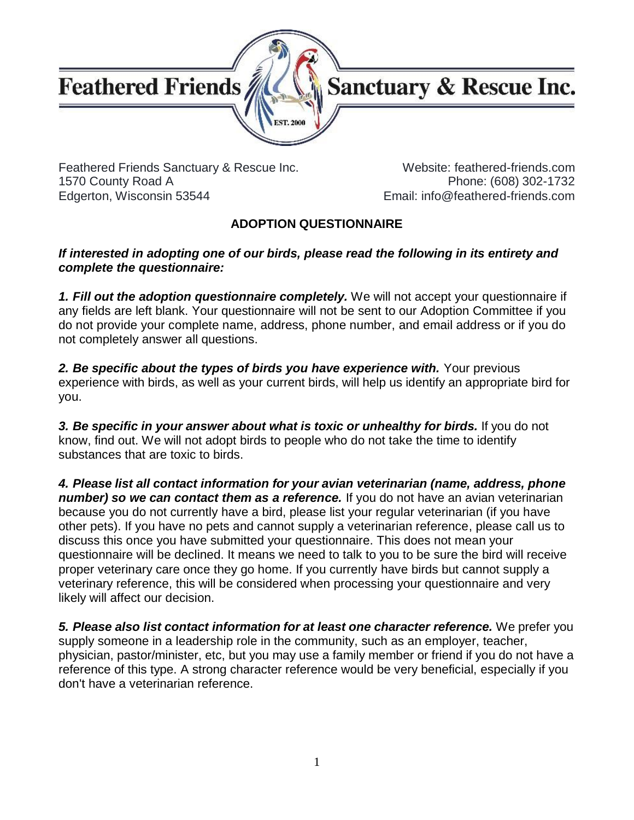

Feathered Friends Sanctuary & Rescue Inc. 1570 County Road A Edgerton, Wisconsin 53544

Website: feathered-friends.com Phone: (608) 302-1732 Email: info@feathered-friends.com

#### **ADOPTION QUESTIONNAIRE**

#### *If interested in adopting one of our birds, please read the following in its entirety and complete the questionnaire:*

*1. Fill out the adoption questionnaire completely.* We will not accept your questionnaire if any fields are left blank. Your questionnaire will not be sent to our Adoption Committee if you do not provide your complete name, address, phone number, and email address or if you do not completely answer all questions.

**2. Be specific about the types of birds you have experience with.** Your previous experience with birds, as well as your current birds, will help us identify an appropriate bird for you.

*3. Be specific in your answer about what is toxic or unhealthy for birds.* If you do not know, find out. We will not adopt birds to people who do not take the time to identify substances that are toxic to birds.

*4. Please list all contact information for your avian veterinarian (name, address, phone number) so we can contact them as a reference.* If you do not have an avian veterinarian because you do not currently have a bird, please list your regular veterinarian (if you have other pets). If you have no pets and cannot supply a veterinarian reference, please call us to discuss this once you have submitted your questionnaire. This does not mean your questionnaire will be declined. It means we need to talk to you to be sure the bird will receive proper veterinary care once they go home. If you currently have birds but cannot supply a veterinary reference, this will be considered when processing your questionnaire and very likely will affect our decision.

*5. Please also list contact information for at least one character reference.* We prefer you supply someone in a leadership role in the community, such as an employer, teacher, physician, pastor/minister, etc, but you may use a family member or friend if you do not have a reference of this type. A strong character reference would be very beneficial, especially if you don't have a veterinarian reference.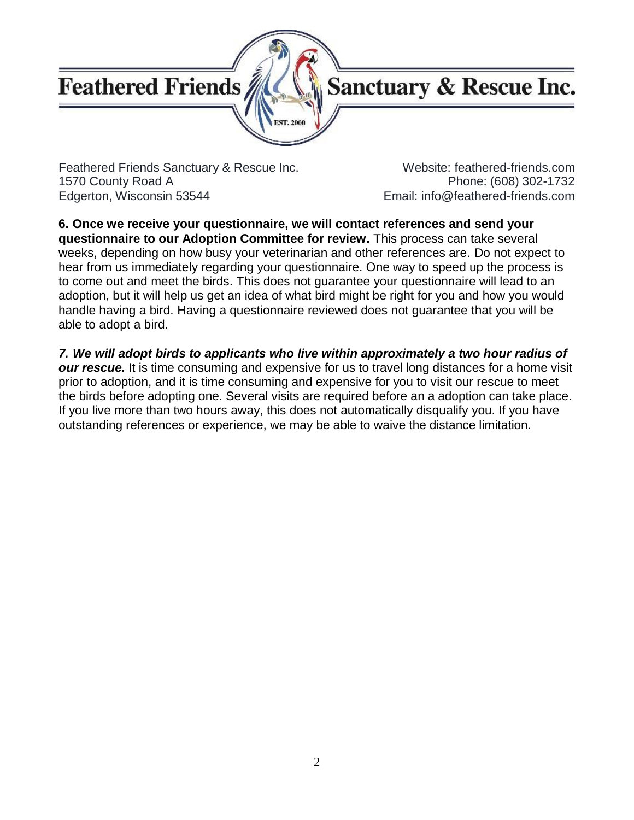

Feathered Friends Sanctuary & Rescue Inc. 1570 County Road A Edgerton, Wisconsin 53544

Website: feathered-friends.com Phone: (608) 302-1732 Email: info@feathered-friends.com

**6. Once we receive your questionnaire, we will contact references and send your questionnaire to our Adoption Committee for review.** This process can take several weeks, depending on how busy your veterinarian and other references are. Do not expect to hear from us immediately regarding your questionnaire. One way to speed up the process is to come out and meet the birds. This does not guarantee your questionnaire will lead to an adoption, but it will help us get an idea of what bird might be right for you and how you would handle having a bird. Having a questionnaire reviewed does not guarantee that you will be able to adopt a bird.

*7. We will adopt birds to applicants who live within approximately a two hour radius of our rescue.* It is time consuming and expensive for us to travel long distances for a home visit prior to adoption, and it is time consuming and expensive for you to visit our rescue to meet the birds before adopting one. Several visits are required before an a adoption can take place. If you live more than two hours away, this does not automatically disqualify you. If you have outstanding references or experience, we may be able to waive the distance limitation.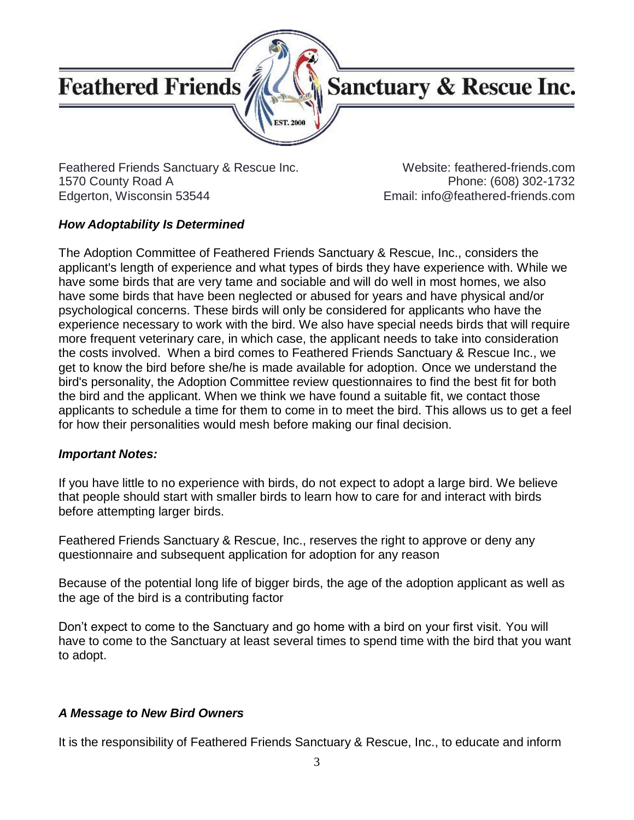

Feathered Friends Sanctuary & Rescue Inc. 1570 County Road A Edgerton, Wisconsin 53544

Website: feathered-friends.com Phone: (608) 302-1732 Email: info@feathered-friends.com

#### *How Adoptability Is Determined*

The Adoption Committee of Feathered Friends Sanctuary & Rescue, Inc., considers the applicant's length of experience and what types of birds they have experience with. While we have some birds that are very tame and sociable and will do well in most homes, we also have some birds that have been neglected or abused for years and have physical and/or psychological concerns. These birds will only be considered for applicants who have the experience necessary to work with the bird. We also have special needs birds that will require more frequent veterinary care, in which case, the applicant needs to take into consideration the costs involved. When a bird comes to Feathered Friends Sanctuary & Rescue Inc., we get to know the bird before she/he is made available for adoption. Once we understand the bird's personality, the Adoption Committee review questionnaires to find the best fit for both the bird and the applicant. When we think we have found a suitable fit, we contact those applicants to schedule a time for them to come in to meet the bird. This allows us to get a feel for how their personalities would mesh before making our final decision.

#### *Important Notes:*

If you have little to no experience with birds, do not expect to adopt a large bird. We believe that people should start with smaller birds to learn how to care for and interact with birds before attempting larger birds.

Feathered Friends Sanctuary & Rescue, Inc., reserves the right to approve or deny any questionnaire and subsequent application for adoption for any reason

Because of the potential long life of bigger birds, the age of the adoption applicant as well as the age of the bird is a contributing factor

Don't expect to come to the Sanctuary and go home with a bird on your first visit. You will have to come to the Sanctuary at least several times to spend time with the bird that you want to adopt.

#### *A Message to New Bird Owners*

It is the responsibility of Feathered Friends Sanctuary & Rescue, Inc., to educate and inform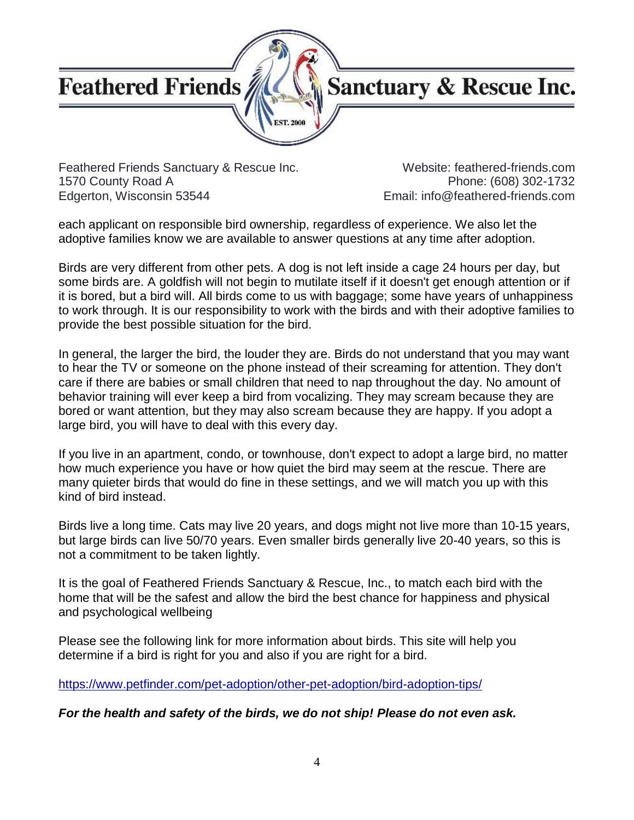### **Sanctuary & Rescue Inc.**

Feathered Friends Sanctuary & Rescue Inc. 1570 County Road A Edgerton, Wisconsin 53544

Website: feathered-friends.com Phone: (608) 302-1732 Email: info@feathered-friends.com

each applicant on responsible bird ownership, regardless of experience. We also let the adoptive families know we are available to answer questions at any time after adoption.

ST. 200

Birds are very different from other pets. A dog is not left inside a cage 24 hours per day, but some birds are. A goldfish will not begin to mutilate itself if it doesn't get enough attention or if it is bored, but a bird will. All birds come to us with baggage; some have years of unhappiness to work through. It is our responsibility to work with the birds and with their adoptive families to provide the best possible situation for the bird.

In general, the larger the bird, the louder they are. Birds do not understand that you may want to hear the TV or someone on the phone instead of their screaming for attention. They don't care if there are babies or small children that need to nap throughout the day. No amount of behavior training will ever keep a bird from vocalizing. They may scream because they are bored or want attention, but they may also scream because they are happy. If you adopt a large bird, you will have to deal with this every day.

If you live in an apartment, condo, or townhouse, don't expect to adopt a large bird, no matter how much experience you have or how quiet the bird may seem at the rescue. There are many quieter birds that would do fine in these settings, and we will match you up with this kind of bird instead.

Birds live a long time. Cats may live 20 years, and dogs might not live more than 10-15 years, but large birds can live 50/70 years. Even smaller birds generally live 20-40 years, so this is not a commitment to be taken lightly.

It is the goal of Feathered Friends Sanctuary & Rescue, Inc., to match each bird with the home that will be the safest and allow the bird the best chance for happiness and physical and psychological wellbeing

Please see the following link for more information about birds. This site will help you determine if a bird is right for you and also if you are right for a bird.

<https://www.petfinder.com/pet-adoption/other-pet-adoption/bird-adoption-tips/>

*For the health and safety of the birds, we do not ship! Please do not even ask.*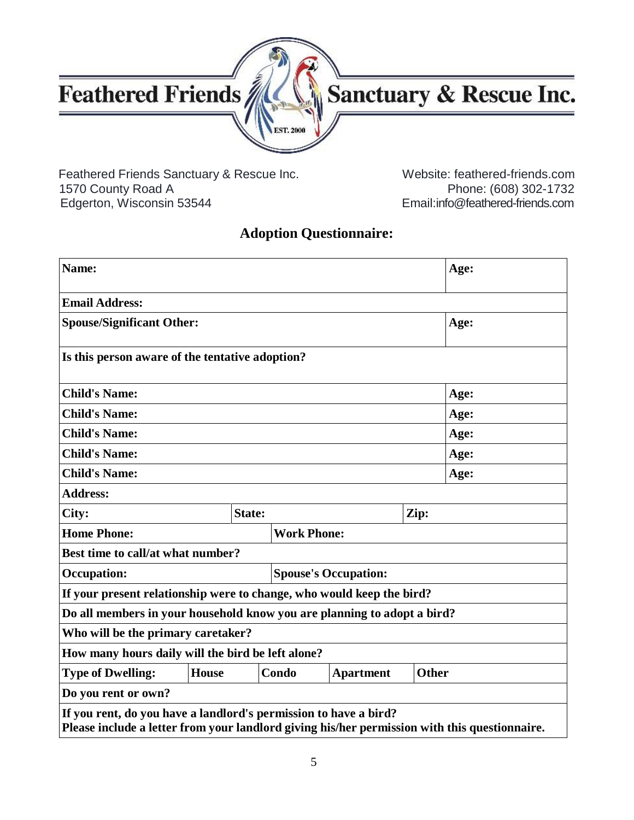

Feathered Friends Sanctuary & Rescue Inc. Website: feathered-friends.com<br>1570 County Road A Phone: (608) 302-1732 Edgerton, Wisconsin 53544 Email:info@feathered-friends.com

Phone: (608) 302-1732

#### **Adoption Questionnaire:**

| Name:                                                                                                                                                             |              |                             |       |                  |              | Age: |
|-------------------------------------------------------------------------------------------------------------------------------------------------------------------|--------------|-----------------------------|-------|------------------|--------------|------|
| <b>Email Address:</b>                                                                                                                                             |              |                             |       |                  |              |      |
| <b>Spouse/Significant Other:</b>                                                                                                                                  |              |                             |       | Age:             |              |      |
| Is this person aware of the tentative adoption?                                                                                                                   |              |                             |       |                  |              |      |
| <b>Child's Name:</b>                                                                                                                                              |              |                             | Age:  |                  |              |      |
| <b>Child's Name:</b>                                                                                                                                              |              |                             |       | Age:             |              |      |
| <b>Child's Name:</b>                                                                                                                                              |              |                             |       |                  |              | Age: |
| <b>Child's Name:</b>                                                                                                                                              |              |                             |       |                  |              | Age: |
| <b>Child's Name:</b>                                                                                                                                              |              |                             |       | Age:             |              |      |
| <b>Address:</b>                                                                                                                                                   |              |                             |       |                  |              |      |
| City:                                                                                                                                                             | State:       |                             | Zip:  |                  |              |      |
| <b>Home Phone:</b>                                                                                                                                                |              | <b>Work Phone:</b>          |       |                  |              |      |
| Best time to call/at what number?                                                                                                                                 |              |                             |       |                  |              |      |
| <b>Occupation:</b>                                                                                                                                                |              | <b>Spouse's Occupation:</b> |       |                  |              |      |
| If your present relationship were to change, who would keep the bird?                                                                                             |              |                             |       |                  |              |      |
| Do all members in your household know you are planning to adopt a bird?                                                                                           |              |                             |       |                  |              |      |
| Who will be the primary caretaker?                                                                                                                                |              |                             |       |                  |              |      |
| How many hours daily will the bird be left alone?                                                                                                                 |              |                             |       |                  |              |      |
| <b>Type of Dwelling:</b>                                                                                                                                          | <b>House</b> |                             | Condo | <b>Apartment</b> | <b>Other</b> |      |
| Do you rent or own?                                                                                                                                               |              |                             |       |                  |              |      |
| If you rent, do you have a landlord's permission to have a bird?<br>Please include a letter from your landlord giving his/her permission with this questionnaire. |              |                             |       |                  |              |      |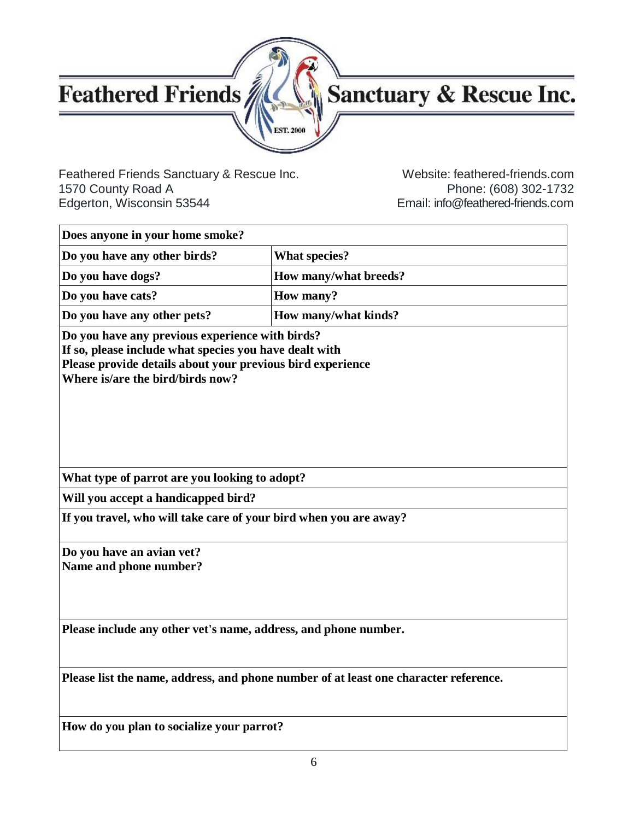

# Sanctuary & Rescue Inc.

Feathered Friends Sanctuary & Rescue Inc. Website: feathered-friends.com<br>1570 County Road A Phone: (608) 302-1732 1570 County Road A Phone: (608) 302-1732<br>Email: info@feathered-friends.com

Email: info@feathered-friend[s.com](mailto:mybirdlife@aol.com)

| Does anyone in your home smoke?                                                                                                                                                                             |                                                                                      |  |  |
|-------------------------------------------------------------------------------------------------------------------------------------------------------------------------------------------------------------|--------------------------------------------------------------------------------------|--|--|
| Do you have any other birds?                                                                                                                                                                                | <b>What species?</b>                                                                 |  |  |
| Do you have dogs?                                                                                                                                                                                           | How many/what breeds?                                                                |  |  |
| Do you have cats?                                                                                                                                                                                           | <b>How many?</b>                                                                     |  |  |
| Do you have any other pets?                                                                                                                                                                                 | How many/what kinds?                                                                 |  |  |
| Do you have any previous experience with birds?<br>If so, please include what species you have dealt with<br>Please provide details about your previous bird experience<br>Where is/are the bird/birds now? |                                                                                      |  |  |
| What type of parrot are you looking to adopt?                                                                                                                                                               |                                                                                      |  |  |
| Will you accept a handicapped bird?                                                                                                                                                                         |                                                                                      |  |  |
| If you travel, who will take care of your bird when you are away?                                                                                                                                           |                                                                                      |  |  |
| Do you have an avian vet?<br>Name and phone number?                                                                                                                                                         |                                                                                      |  |  |
| Please include any other vet's name, address, and phone number.                                                                                                                                             |                                                                                      |  |  |
|                                                                                                                                                                                                             | Please list the name, address, and phone number of at least one character reference. |  |  |
| How do you plan to socialize your parrot?                                                                                                                                                                   |                                                                                      |  |  |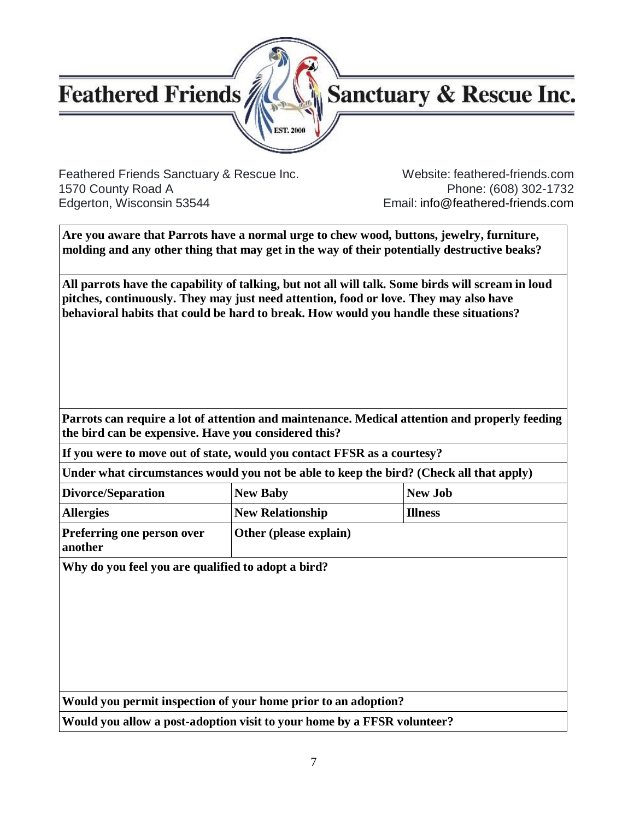

# **Sanctuary & Rescue Inc.**

Feathered Friends Sanctuary & Rescue Inc. Website: feathered-friends.com 1570 County Road A Phone: (608) 302-1732 Edgerton, Wisconsin 53544 Email: [info@feathered-friends.com](mailto:info@feathered-friends.com)

**Are you aware that Parrots have a normal urge to chew wood, buttons, jewelry, furniture, molding and any other thing that may get in the way of their potentially destructive beaks?**

**All parrots have the capability of talking, but not all will talk. Some birds will scream in loud pitches, continuously. They may just need attention, food or love. They may also have behavioral habits that could be hard to break. How would you handle these situations?**

**Parrots can require a lot of attention and maintenance. Medical attention and properly feeding the bird can be expensive. Have you considered this?**

**If you were to move out of state, would you contact FFSR as a courtesy?**

**Under what circumstances would you not be able to keep the bird? (Check all that apply)**

| Divorce/Separation                           | <b>New Baby</b>               | <b>New Job</b> |
|----------------------------------------------|-------------------------------|----------------|
| <b>Allergies</b>                             | <b>New Relationship</b>       | <b>Illness</b> |
| <b>Preferring one person over</b><br>another | <b>Other</b> (please explain) |                |

**Why do you feel you are qualified to adopt a bird?**

**Would you permit inspection of your home prior to an adoption?**

**Would you allow a post-adoption visit to your home by a FFSR volunteer?**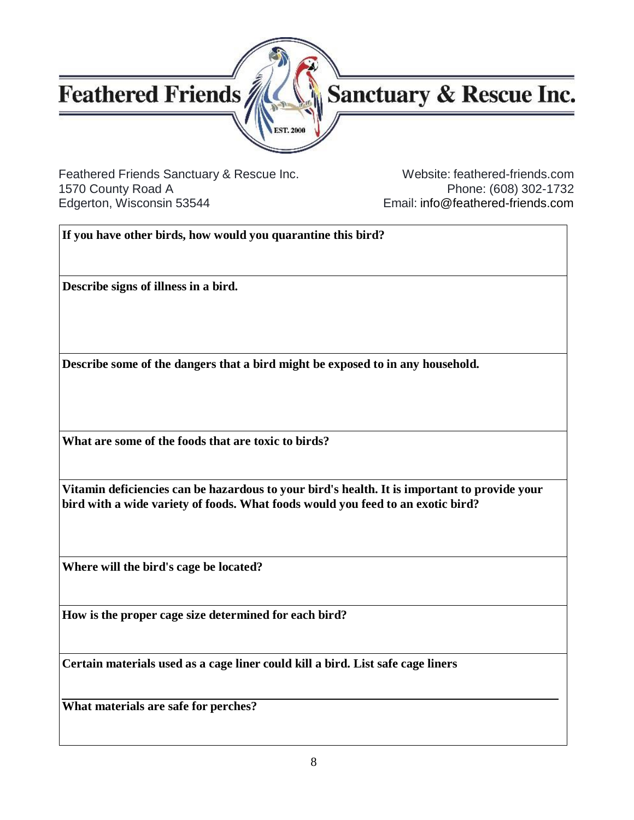

# Sanctuary & Rescue Inc.

Feathered Friends Sanctuary & Rescue Inc. Website: feathered-friends.com 1570 County Road A Phone: (608) 302-1732 Edgerton, Wisconsin 53544 Email: [info@feathered-friends.com](mailto:info@feathered-friends.com)

**If you have other birds, how would you quarantine this bird?**

**Describe signs of illness in a bird.**

**Describe some of the dangers that a bird might be exposed to in any household.**

**What are some of the foods that are toxic to birds?**

**Vitamin deficiencies can be hazardous to your bird's health. It is important to provide your bird with a wide variety of foods. What foods would you feed to an exotic bird?**

**Where will the bird's cage be located?**

**How is the proper cage size determined for each bird?**

**Certain materials used as a cage liner could kill a bird. List safe cage liners**

**What materials are safe for perches?**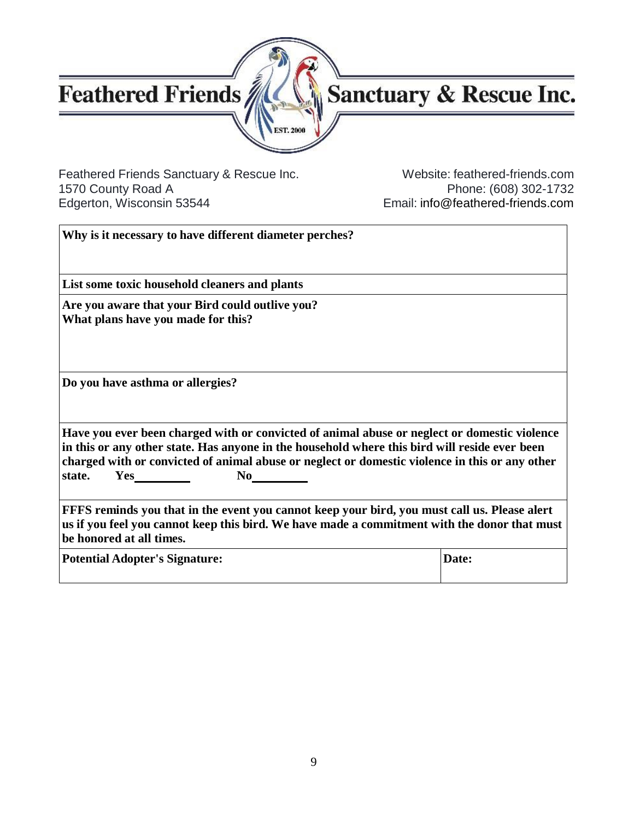

# Sanctuary & Rescue Inc.

Feathered Friends Sanctuary & Rescue Inc. Website: feathered-friends.com<br>1570 County Road A Phone: (608) 302-1732 1570 County Road A Phone: (608) 302-1732<br>Email: info@feathered-friends.com

Email: [info@feathered-friends.com](mailto:info@feathered-friends.com)

| Why is it necessary to have different diameter perches?                                                                                                                                                                                                                                                                       |       |  |
|-------------------------------------------------------------------------------------------------------------------------------------------------------------------------------------------------------------------------------------------------------------------------------------------------------------------------------|-------|--|
| List some toxic household cleaners and plants                                                                                                                                                                                                                                                                                 |       |  |
| Are you aware that your Bird could outlive you?<br>What plans have you made for this?                                                                                                                                                                                                                                         |       |  |
| Do you have asthma or allergies?                                                                                                                                                                                                                                                                                              |       |  |
| Have you ever been charged with or convicted of animal abuse or neglect or domestic violence<br>in this or any other state. Has anyone in the household where this bird will reside ever been<br>charged with or convicted of animal abuse or neglect or domestic violence in this or any other<br>Yes<br>$\bf{No}$<br>state. |       |  |
| FFFS reminds you that in the event you cannot keep your bird, you must call us. Please alert<br>us if you feel you cannot keep this bird. We have made a commitment with the donor that must<br>be honored at all times.                                                                                                      |       |  |
| <b>Potential Adopter's Signature:</b>                                                                                                                                                                                                                                                                                         | Date: |  |